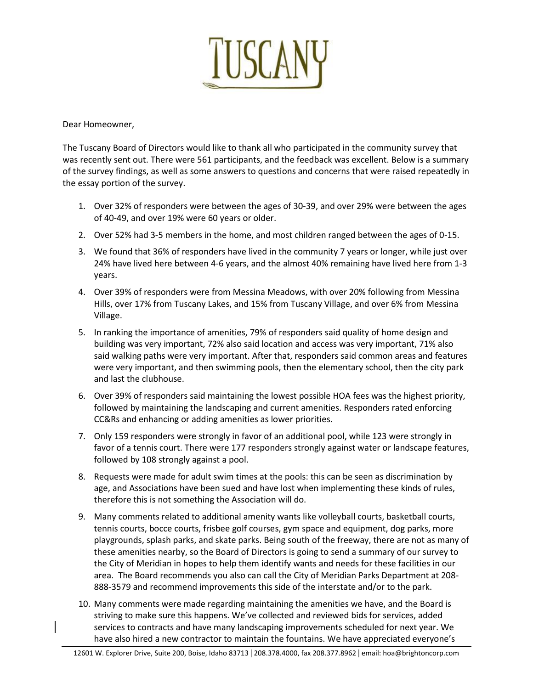

Dear Homeowner,

The Tuscany Board of Directors would like to thank all who participated in the community survey that was recently sent out. There were 561 participants, and the feedback was excellent. Below is a summary of the survey findings, as well as some answers to questions and concerns that were raised repeatedly in the essay portion of the survey.

- 1. Over 32% of responders were between the ages of 30-39, and over 29% were between the ages of 40-49, and over 19% were 60 years or older.
- 2. Over 52% had 3-5 members in the home, and most children ranged between the ages of 0-15.
- 3. We found that 36% of responders have lived in the community 7 years or longer, while just over 24% have lived here between 4-6 years, and the almost 40% remaining have lived here from 1-3 years.
- 4. Over 39% of responders were from Messina Meadows, with over 20% following from Messina Hills, over 17% from Tuscany Lakes, and 15% from Tuscany Village, and over 6% from Messina Village.
- 5. In ranking the importance of amenities, 79% of responders said quality of home design and building was very important, 72% also said location and access was very important, 71% also said walking paths were very important. After that, responders said common areas and features were very important, and then swimming pools, then the elementary school, then the city park and last the clubhouse.
- 6. Over 39% of responders said maintaining the lowest possible HOA fees was the highest priority, followed by maintaining the landscaping and current amenities. Responders rated enforcing CC&Rs and enhancing or adding amenities as lower priorities.
- 7. Only 159 responders were strongly in favor of an additional pool, while 123 were strongly in favor of a tennis court. There were 177 responders strongly against water or landscape features, followed by 108 strongly against a pool.
- 8. Requests were made for adult swim times at the pools: this can be seen as discrimination by age, and Associations have been sued and have lost when implementing these kinds of rules, therefore this is not something the Association will do.
- 9. Many comments related to additional amenity wants like volleyball courts, basketball courts, tennis courts, bocce courts, frisbee golf courses, gym space and equipment, dog parks, more playgrounds, splash parks, and skate parks. Being south of the freeway, there are not as many of these amenities nearby, so the Board of Directors is going to send a summary of our survey to the City of Meridian in hopes to help them identify wants and needs for these facilities in our area. The Board recommends you also can call the City of Meridian Parks Department at 208- 888-3579 and recommend improvements this side of the interstate and/or to the park.
- 10. Many comments were made regarding maintaining the amenities we have, and the Board is striving to make sure this happens. We've collected and reviewed bids for services, added services to contracts and have many landscaping improvements scheduled for next year. We have also hired a new contractor to maintain the fountains. We have appreciated everyone's